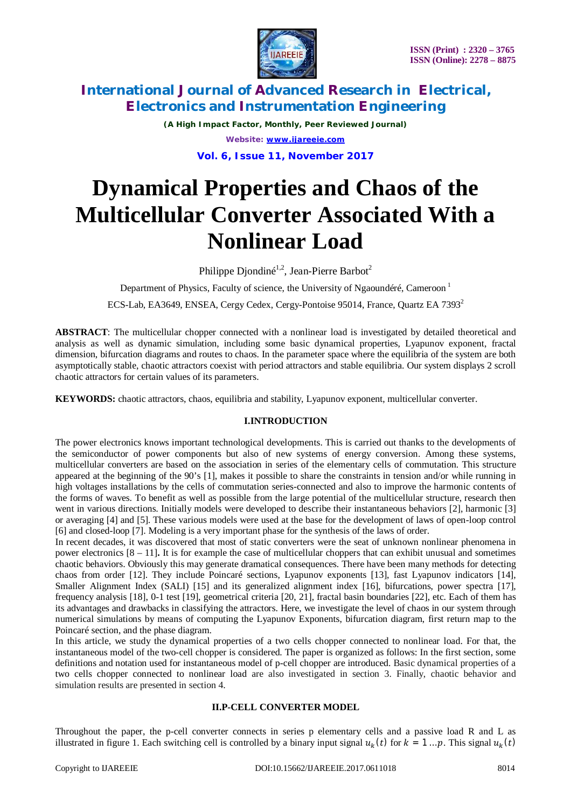

*(A High Impact Factor, Monthly, Peer Reviewed Journal) Website: [www.ijareeie.com](http://www.ijareeie.com)*

**Vol. 6, Issue 11, November 2017**

# **Dynamical Properties and Chaos of the Multicellular Converter Associated With a Nonlinear Load**

Philippe Djondiné<sup>1,2</sup>, Jean-Pierre Barbot<sup>2</sup>

Department of Physics, Faculty of science, the University of Ngaoundéré, Cameroon<sup>1</sup> ECS-Lab, EA3649, ENSEA, Cergy Cedex, Cergy-Pontoise 95014, France, Quartz EA 7393<sup>2</sup>

**ABSTRACT**: The multicellular chopper connected with a nonlinear load is investigated by detailed theoretical and analysis as well as dynamic simulation, including some basic dynamical properties, Lyapunov exponent, fractal dimension, bifurcation diagrams and routes to chaos. In the parameter space where the equilibria of the system are both asymptotically stable, chaotic attractors coexist with period attractors and stable equilibria. Our system displays 2 scroll chaotic attractors for certain values of its parameters.

**KEYWORDS:** chaotic attractors, chaos, equilibria and stability, Lyapunov exponent, multicellular converter.

### **I.INTRODUCTION**

The power electronics knows important technological developments. This is carried out thanks to the developments of the semiconductor of power components but also of new systems of energy conversion. Among these systems, multicellular converters are based on the association in series of the elementary cells of commutation. This structure appeared at the beginning of the 90's [1], makes it possible to share the constraints in tension and/or while running in high voltages installations by the cells of commutation series-connected and also to improve the harmonic contents of the forms of waves. To benefit as well as possible from the large potential of the multicellular structure, research then went in various directions. Initially models were developed to describe their instantaneous behaviors [2], harmonic [3] or averaging [4] and [5]. These various models were used at the base for the development of laws of open-loop control [6] and closed-loop [7]. Modeling is a very important phase for the synthesis of the laws of order.

In recent decades, it was discovered that most of static converters were the seat of unknown nonlinear phenomena in power electronics [8 – 11]**.** It is for example the case of multicellular choppers that can exhibit unusual and sometimes chaotic behaviors. Obviously this may generate dramatical consequences. There have been many methods for detecting chaos from order [12]. They include Poincaré sections, Lyapunov exponents [13], fast Lyapunov indicators [14], Smaller Alignment Index (SALI) [15] and its generalized alignment index [16], bifurcations, power spectra [17], frequency analysis [18], 0-1 test [19], geometrical criteria [20, 21], fractal basin boundaries [22], etc. Each of them has its advantages and drawbacks in classifying the attractors. Here, we investigate the level of chaos in our system through numerical simulations by means of computing the Lyapunov Exponents, bifurcation diagram, first return map to the Poincaré section, and the phase diagram.

In this article, we study the dynamical properties of a two cells chopper connected to nonlinear load. For that, the instantaneous model of the two-cell chopper is considered. The paper is organized as follows: In the first section, some definitions and notation used for instantaneous model of p-cell chopper are introduced. Basic dynamical properties of a two cells chopper connected to nonlinear load are also investigated in section 3. Finally, chaotic behavior and simulation results are presented in section 4.

### **II.P-CELL CONVERTER MODEL**

Throughout the paper, the p-cell converter connects in series p elementary cells and a passive load R and L as illustrated in figure 1. Each switching cell is controlled by a binary input signal  $u_k(t)$  for  $k = 1...p$ . This signal  $u_k(t)$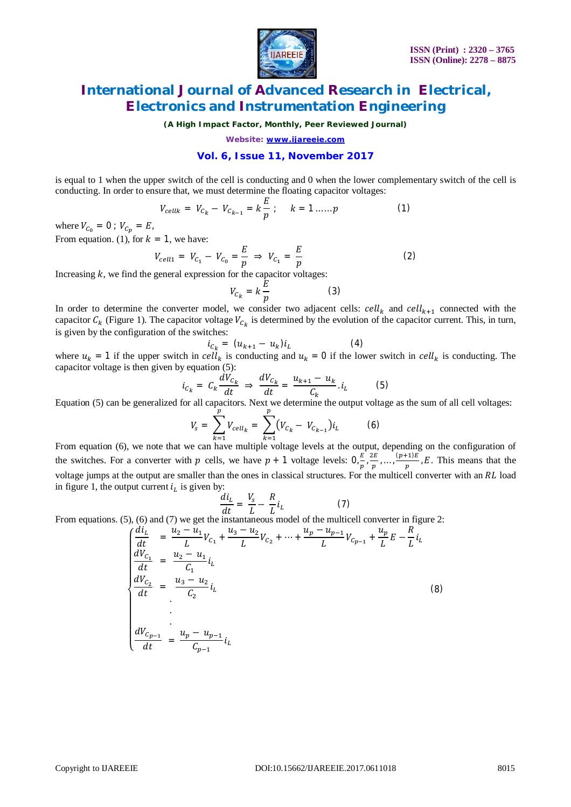

*(A High Impact Factor, Monthly, Peer Reviewed Journal)*

*Website: [www.ijareeie.com](http://www.ijareeie.com)*

#### **Vol. 6, Issue 11, November 2017**

is equal to 1 when the upper switch of the cell is conducting and 0 when the lower complementary switch of the cell is conducting. In order to ensure that, we must determine the floating capacitor voltages:

$$
V_{cellk} = V_{C_k} - V_{C_{k-1}} = k \frac{E}{p} ; \qquad k = 1 ... . . p \tag{1}
$$

where  $V_{C_0} = 0$ ;  $V_{C_n} = E$ , From equation. (1), for  $k = 1$ , we have:

$$
V_{cell1} = V_{C_1} - V_{C_0} = \frac{E}{p} \Rightarrow V_{C_1} = \frac{E}{p}
$$
 (2)

Increasing  $k$ , we find the general expression for the capacitor voltages:

$$
V_{C_k} = k \frac{E}{p} \tag{3}
$$

In order to determine the converter model, we consider two adjacent cells:  $\text{cell}_k$  and  $\text{cell}_{k+1}$  connected with the capacitor  $C_k$  (Figure 1). The capacitor voltage  $V_{C_k}$  is determined by the evolution of the capacitor current. This, in turn, is given by the configuration of the switches:

$$
i_{c_k} = (u_{k+1} - u_k)i_k \tag{4}
$$

where  $u_k = 1$  if the upper switch in  $cell_k$  is conducting and  $u_k = 0$  if the lower switch in  $cell_k$  is conducting. The capacitor voltage is then given by equation (5):

$$
i_{C_k} = C_k \frac{dV_{C_k}}{dt} \Rightarrow \frac{dV_{C_k}}{dt} = \frac{u_{k+1} - u_k}{C_k} \cdot i_L \tag{5}
$$

Equation (5) can be generalized for all capacitors. Next we determine the output voltage as the sum of all cell voltages:

$$
V_s = \sum_{k=1}^{p} V_{cell_k} = \sum_{k=1}^{p} (V_{C_k} - V_{C_{k-1}}) i_L
$$
 (6)

From equation (6), we note that we can have multiple voltage levels at the output, depending on the configuration of the switches. For a converter with p cells, we have  $p + 1$  voltage levels:  $0, \frac{E}{I}$  $\frac{E}{p}$ ,  $\frac{2E}{p}$  $\frac{p_E}{p}$ , ...,  $\frac{(p+1)E}{p}$  $\frac{F^{1/E}}{p}$ , E. This means that the voltage jumps at the output are smaller than the ones in classical structures. For the multicell converter with an RL load in figure 1, the output current  $i<sub>L</sub>$  is given by:

$$
\frac{di_L}{dt} = \frac{V_s}{L} - \frac{R}{L}i_L
$$
\n(7)

From equations. (5), (6) and (7) we get the instantaneous model of the multicell converter in figure 2:

$$
\begin{cases}\n\frac{di_L}{dt} = \frac{u_2 - u_1}{L} V_{C_1} + \frac{u_3 - u_2}{L} V_{C_2} + \dots + \frac{u_p - u_{p-1}}{L} V_{C_{p-1}} + \frac{u_p}{L} E - \frac{R}{L} i_L \\
\frac{dV_{C_1}}{dt} = \frac{u_2 - u_1}{C_1} i_L \\
\frac{dV_{C_2}}{dt} = \frac{u_3 - u_2}{C_2} i_L \\
\vdots \\
\frac{dV_{C_{p-1}}}{dt} = \frac{u_p - u_{p-1}}{C_{p-1}} i_L\n\end{cases}
$$
\n(8)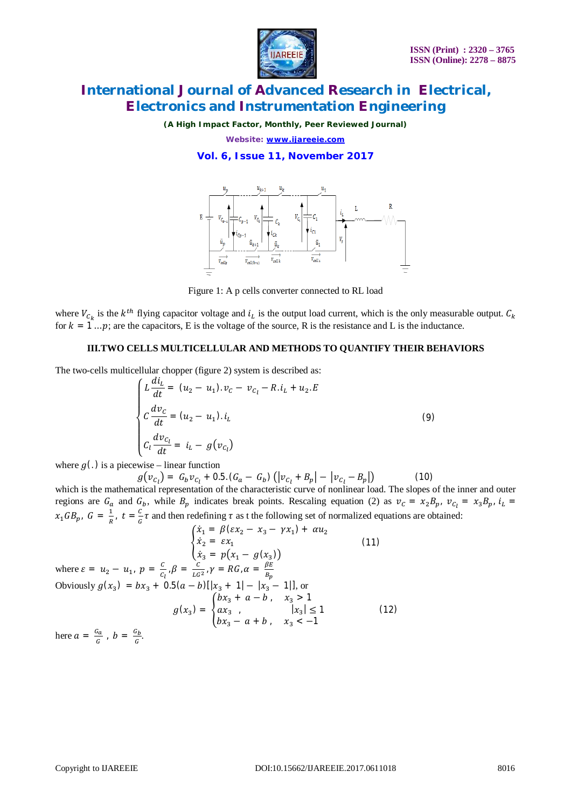

*(A High Impact Factor, Monthly, Peer Reviewed Journal)*

*Website: [www.ijareeie.com](http://www.ijareeie.com)*

**Vol. 6, Issue 11, November 2017**



Figure 1: A p cells converter connected to RL load

where  $V_{c_k}$  is the  $k^{th}$  flying capacitor voltage and  $i_k$  is the output load current, which is the only measurable output.  $C_k$ for  $k = 1...p$ ; are the capacitors, E is the voltage of the source, R is the resistance and L is the inductance.

#### **III.TWO CELLS MULTICELLULAR AND METHODS TO QUANTIFY THEIR BEHAVIORS**

The two-cells multicellular chopper (figure 2) system is described as:

$$
\begin{cases}\nL\frac{di_L}{dt} = (u_2 - u_1). v_C - v_{C_l} - R.\,i_L + u_2.E \\
C\frac{dv_C}{dt} = (u_2 - u_1).\,i_L \\
C_l\frac{dv_{C_l}}{dt} = i_L - g(v_{C_l})\n\end{cases} \tag{9}
$$

where  $g(.)$  is a piecewise – linear function

 $g(v_{c_l}) = G_b v_{c_l} + 0.5. (G_a - G_b) (|v_{c_l} + B_p| - |v_{c_l} - B_p|)$  (10)

which is the mathematical representation of the characteristic curve of nonlinear load. The slopes of the inner and outer regions are  $G_a$  and  $G_b$ , while  $B_p$  indicates break points. Rescaling equation (2) as  $v_c = x_2 B_p$ ,  $v_{c_l} = x_3 B_p$ ,  $i_l =$  $x_1GB_p, G = \frac{1}{R}$  $\frac{1}{R}$ ,  $t = \frac{C}{G}$  $\frac{a}{a} \tau$  and then redefining  $\tau$  as t the following set of normalized equations are obtained:

$$
\begin{cases}\n\dot{x}_1 = \beta(\varepsilon x_2 - x_3 - \gamma x_1) + \alpha u_2 \\
\dot{x}_2 = \varepsilon x_1\n\end{cases}
$$
\nwhere  $\varepsilon = u_2 - u_1$ ,  $p = \frac{c}{c_1}$ ,  $\beta = \frac{c}{L G^2}$ ,  $\gamma = RG$ ,  $\alpha = \frac{\beta E}{B_p}$   
\nObviously  $g(x_3) = bx_3 + 0.5(a - b)[|x_3 + 1| - |x_3 - 1|]$ , or  
\n
$$
g(x_3) = \begin{cases}\nbx_3 + a - b, & x_3 > 1 \\
ax_3, & |x_3| \le 1 \\
bx_3 - a + b, & x_3 < -1\n\end{cases}
$$
\n(12)

here  $a = \frac{G_a}{c}$  $\frac{G_a}{G}$ ,  $b = \frac{G_b}{G}$  $\frac{d}{d}$ .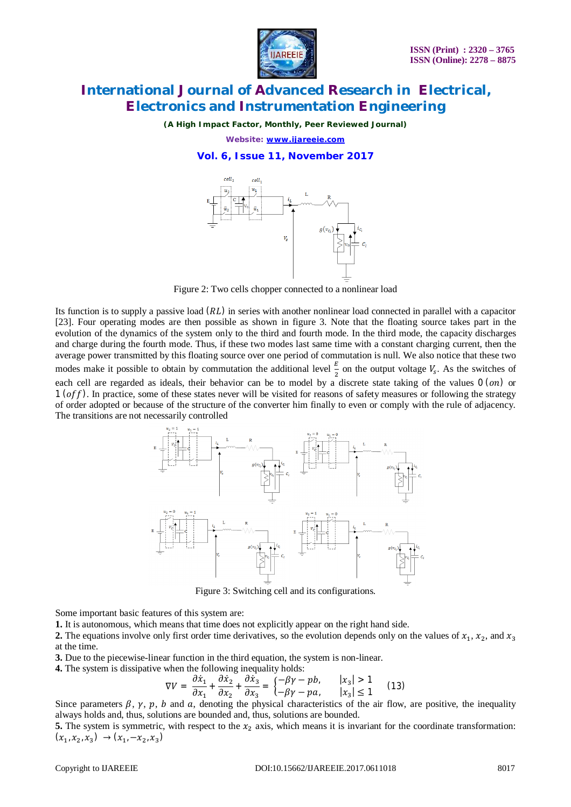

*(A High Impact Factor, Monthly, Peer Reviewed Journal)*

*Website: [www.ijareeie.com](http://www.ijareeie.com)*

#### **Vol. 6, Issue 11, November 2017**



Figure 2: Two cells chopper connected to a nonlinear load

Its function is to supply a passive load  $(RL)$  in series with another nonlinear load connected in parallel with a capacitor [23]. Four operating modes are then possible as shown in figure 3. Note that the floating source takes part in the evolution of the dynamics of the system only to the third and fourth mode. In the third mode, the capacity discharges and charge during the fourth mode. Thus, if these two modes last same time with a constant charging current, then the average power transmitted by this floating source over one period of commutation is null. We also notice that these two modes make it possible to obtain by commutation the additional level  $\frac{E}{2}$  on the output voltage  $V_s$ . As the switches of each cell are regarded as ideals, their behavior can be to model by a discrete state taking of the values  $0$  (on) or  $1 (off)$ . In practice, some of these states never will be visited for reasons of safety measures or following the strategy of order adopted or because of the structure of the converter him finally to even or comply with the rule of adjacency. The transitions are not necessarily controlled



Figure 3: Switching cell and its configurations.

Some important basic features of this system are:

**1.** It is autonomous, which means that time does not explicitly appear on the right hand side.

**2.** The equations involve only first order time derivatives, so the evolution depends only on the values of  $x_1, x_2$ , and  $x_3$ at the time.

**3.** Due to the piecewise-linear function in the third equation, the system is non-linear.

**4.** The system is dissipative when the following inequality holds:

$$
\nabla V = \frac{\partial \dot{x}_1}{\partial x_1} + \frac{\partial \dot{x}_2}{\partial x_2} + \frac{\partial \dot{x}_3}{\partial x_3} = \begin{cases} -\beta \gamma - pb, & |x_3| > 1\\ -\beta \gamma - pa, & |x_3| \le 1 \end{cases}
$$
(13)

Since parameters  $\beta$ ,  $\gamma$ ,  $p$ ,  $b$  and  $a$ , denoting the physical characteristics of the air flow, are positive, the inequality always holds and, thus, solutions are bounded and, thus, solutions are bounded.

**5.** The system is symmetric, with respect to the  $x_2$  axis, which means it is invariant for the coordinate transformation:  $(x_1, x_2, x_3) \rightarrow (x_1, -x_2, x_3)$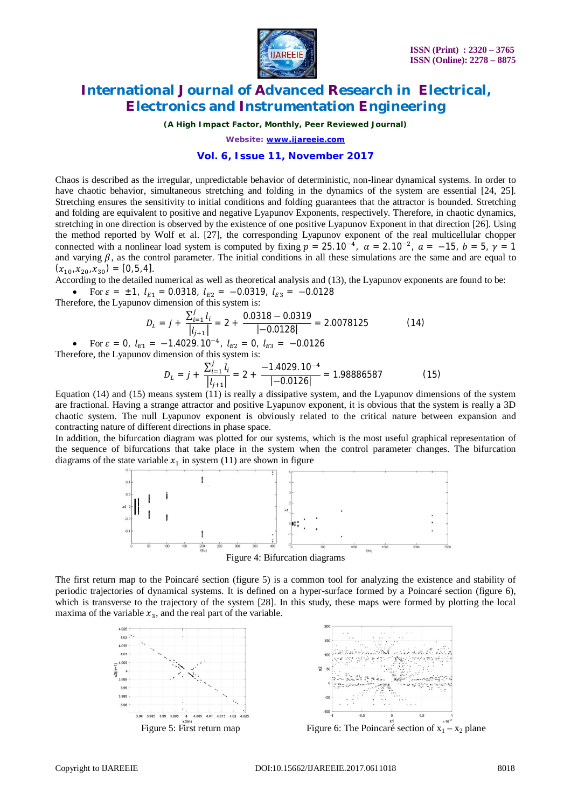

*(A High Impact Factor, Monthly, Peer Reviewed Journal)*

*Website: [www.ijareeie.com](http://www.ijareeie.com)*

#### **Vol. 6, Issue 11, November 2017**

Chaos is described as the irregular, unpredictable behavior of deterministic, non-linear dynamical systems. In order to have chaotic behavior, simultaneous stretching and folding in the dynamics of the system are essential [24, 25]. Stretching ensures the sensitivity to initial conditions and folding guarantees that the attractor is bounded. Stretching and folding are equivalent to positive and negative Lyapunov Exponents, respectively. Therefore, in chaotic dynamics, stretching in one direction is observed by the existence of one positive Lyapunov Exponent in that direction [26]. Using the method reported by Wolf et al. [27], the corresponding Lyapunov exponent of the real multicellular chopper connected with a nonlinear load system is computed by fixing  $p = 25.10^{-4}$ ,  $\alpha = 2.10^{-2}$ ,  $\alpha = -15$ ,  $b = 5$ ,  $\gamma = 1$ and varying  $\beta$ , as the control parameter. The initial conditions in all these simulations are the same and are equal to  $(x_{10}, x_{20}, x_{30}) = [0, 5, 4].$ 

According to the detailed numerical as well as theoretical analysis and (13), the Lyapunov exponents are found to be:

• For 
$$
\varepsilon = \pm 1
$$
,  $l_{E1} = 0.0318$ ,  $l_{E2} = -0.0319$ ,  $l_{E3} = -0.0128$ 

Therefore, the Lyapunov dimension of this system is:

$$
D_L = j + \frac{\sum_{i=1}^{j} l_i}{|l_{j+1}|} = 2 + \frac{0.0318 - 0.0319}{|-0.0128|} = 2.0078125
$$
 (14)

• For  $\varepsilon = 0$ ,  $l_{E1} = -1.4029$ .  $10^{-4}$ ,  $l_{E2} = 0$ ,  $l_{E3} = -0.0126$ Therefore, the Lyapunov dimension of this system is:

$$
D_L = j + \frac{\sum_{i=1}^{j} l_i}{|l_{j+1}|} = 2 + \frac{-1.4029.10^{-4}}{|-0.0126|} = 1.98886587
$$
 (15)

Equation (14) and (15) means system (11) is really a dissipative system, and the Lyapunov dimensions of the system are fractional. Having a strange attractor and positive Lyapunov exponent, it is obvious that the system is really a 3D chaotic system. The null Lyapunov exponent is obviously related to the critical nature between expansion and contracting nature of different directions in phase space.

In addition, the bifurcation diagram was plotted for our systems, which is the most useful graphical representation of the sequence of bifurcations that take place in the system when the control parameter changes. The bifurcation diagrams of the state variable  $x_1$  in system (11) are shown in figure



Figure 4: Bifurcation diagrams

The first return map to the Poincaré section (figure 5) is a common tool for analyzing the existence and stability of periodic trajectories of dynamical systems. It is defined on a hyper-surface formed by a Poincaré section (figure 6), which is transverse to the trajectory of the system [28]. In this study, these maps were formed by plotting the local maxima of the variable  $x_3$ , and the real part of the variable.





Figure 5: First return map Figure 6: The Poincaré section of  $x_1 - x_2$  plane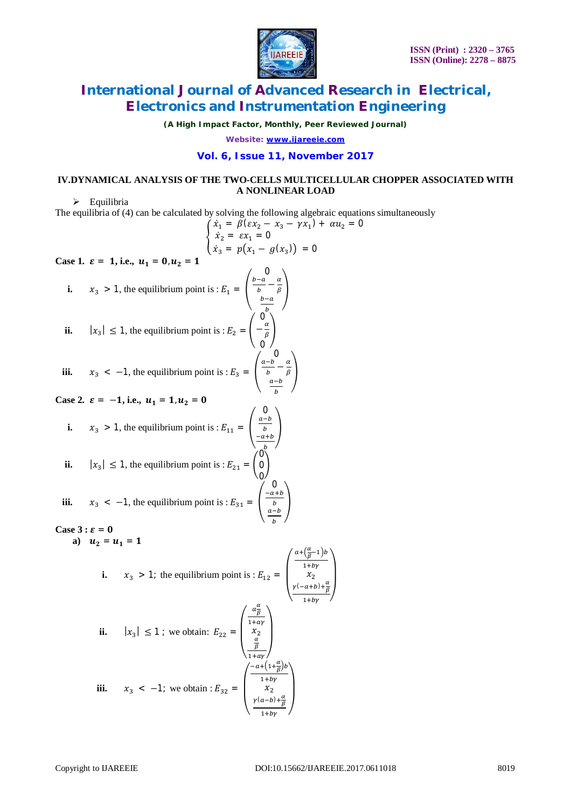

*(A High Impact Factor, Monthly, Peer Reviewed Journal)*

*Website: [www.ijareeie.com](http://www.ijareeie.com)*

#### **Vol. 6, Issue 11, November 2017**

### **IV.DYNAMICAL ANALYSIS OF THE TWO-CELLS MULTICELLULAR CHOPPER ASSOCIATED WITH A NONLINEAR LOAD**

 $\triangleright$  Equilibria

The equilibria of (4) can be calculated by solving the following algebraic equations simultaneously

The equinbria of (4) can be calculated by solving the following algebraic equation  
\n
$$
\begin{cases}\n\dot{x}_1 = \beta(\varepsilon x_2 - x_3 - \gamma x_1) + \alpha u_2 = 0 \\
\dot{x}_2 = \varepsilon x_1 = 0 \\
\dot{x}_3 = p(x_1 - g(x_3)) = 0\n\end{cases}
$$
\n**Case 1.**  $\varepsilon = 1$ , i.e.,  $u_1 = 0$ ,  $u_2 = 1$   
\ni.  $x_3 > 1$ , the equilibrium point is :  $E_1 = \begin{pmatrix} \frac{b-a}{b} & \frac{a}{b} \\ \frac{b-a}{b} & \frac{a}{b} \\ 0 & 0 \end{pmatrix}$   
\n**iii.**  $x_3 < -1$ , the equilibrium point is :  $E_3 = \begin{pmatrix} 0 & 0 \\ \frac{a-b}{b} & \frac{a-b}{b} \\ \frac{a-b}{b} & \frac{a-b}{b} \end{pmatrix}$   
\n**Case 2.**  $\varepsilon = -1$ , i.e.,  $u_1 = 1$ ,  $u_2 = 0$   
\n**i.**  $x_3 > 1$ , the equilibrium point is :  $E_{11} = \begin{pmatrix} 0 & \frac{a-b}{b} \\ \frac{a-b}{b} & \frac{a-b}{b} \\ \frac{a-b}{b} & \frac{a-b}{b} \end{pmatrix}$   
\n**ii.**  $|x_3| \le 1$ , the equilibrium point is :  $E_{21} = \begin{pmatrix} 0 \\ 0 \\ 0 \end{pmatrix}$   
\n**iii.**  $x_3 < -1$ , the equilibrium point is :  $E_{31} = \begin{pmatrix} \frac{a+b}{b} & \frac{a-b}{b} \\ \frac{a-b}{b} & \frac{a-b}{b} \end{pmatrix}$   
\n**Case 3:**  $\varepsilon = 0$   
\n**a)**  $u_2 = u_1 = 1$   
\n**i.**  $x_3 > 1$ ; the equilibrium point is :  $E_{12} = \begin{pmatrix} \frac{a+(\frac{a}{\beta}-1)b}{b} & \frac{a}{\beta} \\ \frac{a-b}{b} & \frac{a}{\beta} \end{pmatrix}$ 

**ii.** 
$$
|x_3| \le 1
$$
; we obtain:  $E_{22} = \begin{pmatrix} \frac{a\frac{\alpha}{\beta}}{1 + a\gamma} \\ x_2 \\ \frac{\frac{\alpha}{\beta}}{1 + a\gamma} \end{pmatrix}$   
\n**iii.**  $x_3 < -1$ ; we obtain:  $E_{32} = \begin{pmatrix} \frac{-a + (1 + \frac{\alpha}{\beta})b}{1 + b\gamma} \\ x_2 \\ \frac{y(a - b) + \frac{\alpha}{\beta}}{1 + b\gamma} \end{pmatrix}$ 

 $\blacksquare$ ⎞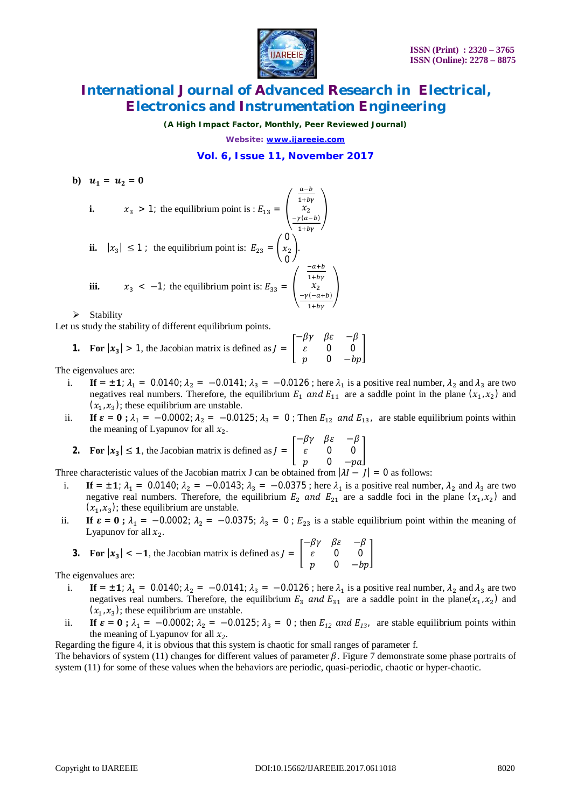

*(A High Impact Factor, Monthly, Peer Reviewed Journal)*

*Website: [www.ijareeie.com](http://www.ijareeie.com)*

### **Vol. 6, Issue 11, November 2017**

**b**)  $u_1 = u_2 = 0$ 

i. 
$$
x_3 > 1
$$
; the equilibrium point is :  $E_{13} = \begin{pmatrix} \frac{a-b}{1+by} \\ x_2 \\ -\frac{y(a-b)}{1+by} \end{pmatrix}$   
ii.  $|x_3| \le 1$ ; the equilibrium point is:  $E_{23} = \begin{pmatrix} 0 \\ x_2 \\ 0 \end{pmatrix}$ .  
iii.  $x_3 < -1$ ; the equilibrium point is:  $E_{33} = \begin{pmatrix} \frac{-a+b}{1+by} \\ x_2 \\ -\frac{y(-a+b)}{1+by} \end{pmatrix}$ 

 $\triangleright$  Stability

Let us study the stability of different equilibrium points.

**1.** For 
$$
|x_3| > 1
$$
, the Jacobian matrix is defined as  $J = \begin{bmatrix} -\beta \gamma & \beta \varepsilon & -\beta \\ \varepsilon & 0 & 0 \\ p & 0 & -bp \end{bmatrix}$ 

The eigenvalues are:

࢞| **For 2.**

- i. **If** =  $\pm$ **1**;  $\lambda_1$  = 0.0140;  $\lambda_2$  = -0.0141;  $\lambda_3$  = -0.0126; here  $\lambda_1$  is a positive real number,  $\lambda_2$  and  $\lambda_3$  are two negatives real numbers. Therefore, the equilibrium  $E_1$  and  $E_{11}$  are a saddle point in the plane  $(x_1, x_2)$  and  $(x_1, x_3)$ ; these equilibrium are unstable.
- ii. **If**  $\varepsilon = 0$ **;**  $\lambda_1 = -0.0002$ ;  $\lambda_2 = -0.0125$ ;  $\lambda_3 = 0$ ; Then  $E_{12}$  and  $E_{13}$ , are stable equilibrium points within the meaning of Lyapunov for all  $x_2$ .

**For** 
$$
|x_3| \le 1
$$
, the Jacobian matrix is defined as  $J = \begin{bmatrix} -\beta \gamma & \beta \varepsilon & -\beta \\ \varepsilon & 0 & 0 \\ p & 0 & -pa \end{bmatrix}$ 

Three characteristic values of the Jacobian matrix J can be obtained from  $|\lambda I - I| = 0$  as follows:

- i. **If** =  $\pm$ **1**;  $\lambda_1$  = 0.0140;  $\lambda_2$  = -0.0143;  $\lambda_3$  = -0.0375; here  $\lambda_1$  is a positive real number,  $\lambda_2$  and  $\lambda_3$  are two negative real numbers. Therefore, the equilibrium  $E_2$  and  $E_{21}$  are a saddle foci in the plane  $(x_1, x_2)$  and  $(x_1, x_3)$ ; these equilibrium are unstable.
- ii. **If**  $\varepsilon = 0$ **;**  $\lambda_1 = -0.0002$ ;  $\lambda_2 = -0.0375$ ;  $\lambda_3 = 0$ ;  $E_{23}$  is a stable equilibrium point within the meaning of Lyapunov for all  $x_2$ .  $\bar{\phantom{a}}$   $\bar{\phantom{a}}$

3. For 
$$
|x_3| < -1
$$
, the Jacobian matrix is defined as  $J = \begin{bmatrix} -\beta \gamma & \beta \epsilon & -\beta \\ \epsilon & 0 & 0 \\ p & 0 & -bp \end{bmatrix}$ 

The eigenvalues are:

- i. **If** =  $\pm$ **1**;  $\lambda_1$  = 0.0140;  $\lambda_2$  = -0.0141;  $\lambda_3$  = -0.0126; here  $\lambda_1$  is a positive real number,  $\lambda_2$  and  $\lambda_3$  are two negatives real numbers. Therefore, the equilibrium  $E_3$  and  $E_{31}$  are a saddle point in the plane( $x_1, x_2$ ) and  $(x_1, x_3)$ ; these equilibrium are unstable.
- ii. **If**  $\varepsilon = 0$ **;**  $\lambda_1 = -0.0002$ ;  $\lambda_2 = -0.0125$ ;  $\lambda_3 = 0$ ; then  $E_{12}$  and  $E_{13}$ , are stable equilibrium points within the meaning of Lyapunov for all  $x_2$ .

Regarding the figure 4, it is obvious that this system is chaotic for small ranges of parameter f.

The behaviors of system (11) changes for different values of parameter  $\beta$ . Figure 7 demonstrate some phase portraits of system (11) for some of these values when the behaviors are periodic, quasi-periodic, chaotic or hyper-chaotic.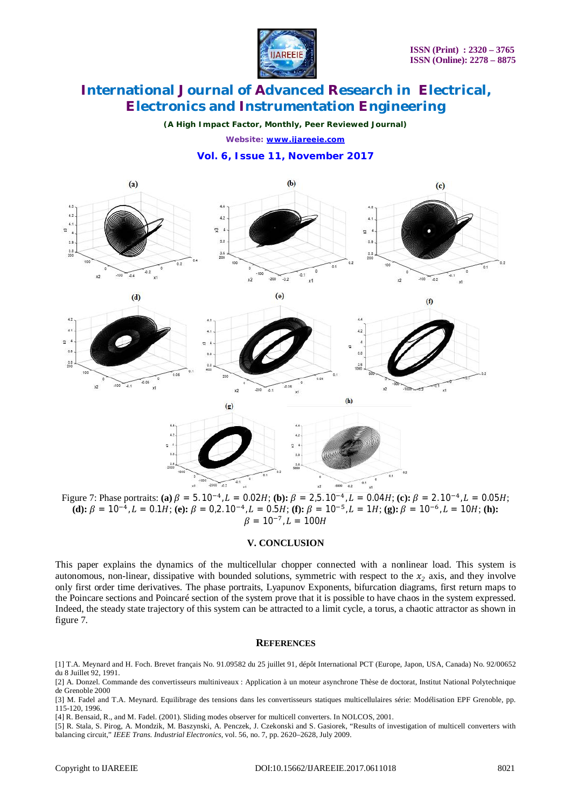

*(A High Impact Factor, Monthly, Peer Reviewed Journal)*

*Website: [www.ijareeie.com](http://www.ijareeie.com)*

#### **Vol. 6, Issue 11, November 2017**



Figure 7: Phase portraits: (a)  $\beta = 5.10^{-4}$ ,  $L = 0.02H$ ; (b):  $\beta = 2.5.10^{-4}$ ,  $L = 0.04H$ ; (c):  $\beta = 2.10^{-4}$ ,  $L = 0.05H$ ; **(d):**  $\beta = 10^{-4}$ ,  $L = 0.1H$ ; **(e):**  $\beta = 0.2.10^{-4}$ ,  $L = 0.5H$ ; **(f):**  $\beta = 10^{-5}$ ,  $L = 1H$ ; **(g):**  $\beta = 10^{-6}$ ,  $L = 10H$ ; **(h):**  $\beta = 10^{-7}$ ,  $L = 100H$ 

#### **V. CONCLUSION**

This paper explains the dynamics of the multicellular chopper connected with a nonlinear load. This system is autonomous, non-linear, dissipative with bounded solutions, symmetric with respect to the  $x<sub>2</sub>$  axis, and they involve only first order time derivatives. The phase portraits, Lyapunov Exponents, bifurcation diagrams, first return maps to the Poincare sections and Poincaré section of the system prove that it is possible to have chaos in the system expressed. Indeed, the steady state trajectory of this system can be attracted to a limit cycle, a torus, a chaotic attractor as shown in figure 7.

#### **REFERENCES**

[3] M. Fadel and T.A. Meynard. Equilibrage des tensions dans les convertisseurs statiques multicellulaires série: Modélisation EPF Grenoble, pp. 115-120, 1996.

[4] R. Bensaid, R., and M. Fadel. (2001). Sliding modes observer for multicell converters. In NOLCOS, 2001.

[5] R. Stala, S. Pirog, A. Mondzik, M. Baszynski, A. Penczek, J. Czekonski and S. Gasiorek, "Results of investigation of multicell converters with balancing circuit," *IEEE Trans. Industrial Electronics,* vol. 56, no. 7, pp. 2620–2628, July 2009.

<sup>[1]</sup> T.A. Meynard and H. Foch. Brevet français No. 91.09582 du 25 juillet 91, dépôt International PCT (Europe, Japon, USA, Canada) No. 92/00652 du 8 Juillet 92, 1991.

<sup>[2]</sup> A. Donzel. Commande des convertisseurs multiniveaux : Application à un moteur asynchrone Thèse de doctorat, Institut National Polytechnique de Grenoble 2000